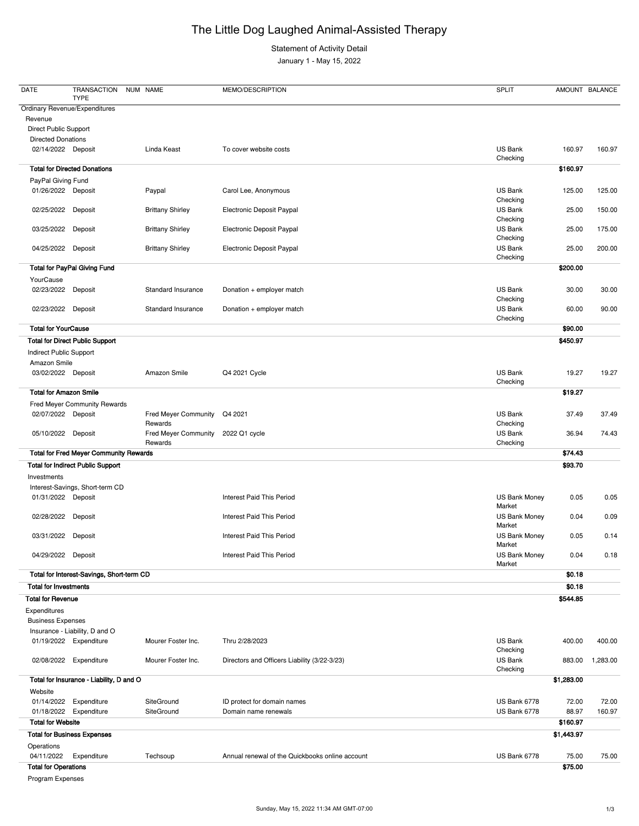## The Little Dog Laughed Animal-Assisted Therapy

Statement of Activity Detail

January 1 - May 15, 2022

| <b>DATE</b>                   | <b>TRANSACTION</b><br><b>TYPE</b>             | NUM NAME                               | MEMO/DESCRIPTION                 | <b>SPLIT</b>                   |          | AMOUNT BALANCE |
|-------------------------------|-----------------------------------------------|----------------------------------------|----------------------------------|--------------------------------|----------|----------------|
| Revenue                       | <b>Ordinary Revenue/Expenditures</b>          |                                        |                                  |                                |          |                |
| <b>Direct Public Support</b>  |                                               |                                        |                                  |                                |          |                |
| <b>Directed Donations</b>     |                                               |                                        |                                  |                                |          |                |
| 02/14/2022 Deposit            |                                               | Linda Keast                            | To cover website costs           | US Bank<br>Checking            | 160.97   | 160.97         |
|                               | <b>Total for Directed Donations</b>           |                                        |                                  |                                | \$160.97 |                |
| PayPal Giving Fund            |                                               |                                        |                                  |                                |          |                |
| 01/26/2022 Deposit            |                                               | Paypal                                 | Carol Lee, Anonymous             | US Bank                        | 125.00   | 125.00         |
| 02/25/2022                    | Deposit                                       | <b>Brittany Shirley</b>                | Electronic Deposit Paypal        | Checking<br>US Bank            | 25.00    | 150.00         |
|                               |                                               |                                        |                                  | Checking                       |          |                |
| 03/25/2022                    | Deposit                                       | <b>Brittany Shirley</b>                | Electronic Deposit Paypal        | US Bank<br>Checking            | 25.00    | 175.00         |
| 04/25/2022                    | Deposit                                       | <b>Brittany Shirley</b>                | Electronic Deposit Paypal        | US Bank<br>Checking            | 25.00    | 200.00         |
|                               | <b>Total for PayPal Giving Fund</b>           |                                        |                                  |                                | \$200.00 |                |
| YourCause                     |                                               |                                        |                                  |                                |          |                |
| 02/23/2022                    | Deposit                                       | <b>Standard Insurance</b>              | Donation + employer match        | US Bank<br>Checking            | 30.00    | 30.00          |
| 02/23/2022                    | Deposit                                       | Standard Insurance                     | Donation + employer match        | US Bank                        | 60.00    | 90.00          |
| <b>Total for YourCause</b>    |                                               |                                        |                                  | Checking                       | \$90.00  |                |
|                               | <b>Total for Direct Public Support</b>        |                                        |                                  |                                | \$450.97 |                |
| Indirect Public Support       |                                               |                                        |                                  |                                |          |                |
| Amazon Smile                  |                                               |                                        |                                  |                                |          |                |
| 03/02/2022 Deposit            |                                               | Amazon Smile                           | Q4 2021 Cycle                    | US Bank<br>Checking            | 19.27    | 19.27          |
| <b>Total for Amazon Smile</b> |                                               |                                        |                                  |                                | \$19.27  |                |
|                               | <b>Fred Meyer Community Rewards</b>           |                                        |                                  |                                |          |                |
| 02/07/2022                    | Deposit                                       | Fred Meyer Community Q4 2021           |                                  | US Bank                        | 37.49    | 37.49          |
| 05/10/2022                    | Deposit                                       | Rewards<br><b>Fred Meyer Community</b> | 2022 Q1 cycle                    | Checking<br>US Bank            | 36.94    | 74.43          |
|                               |                                               | Rewards                                |                                  | Checking                       |          |                |
|                               | <b>Total for Fred Meyer Community Rewards</b> |                                        |                                  |                                | \$74.43  |                |
|                               | <b>Total for Indirect Public Support</b>      |                                        |                                  |                                | \$93.70  |                |
| Investments                   |                                               |                                        |                                  |                                |          |                |
|                               | Interest-Savings, Short-term CD               |                                        |                                  |                                |          |                |
| 01/31/2022 Deposit            |                                               |                                        | <b>Interest Paid This Period</b> | <b>US Bank Money</b><br>Market | 0.05     | 0.05           |
| 02/28/2022 Deposit            |                                               |                                        | <b>Interest Paid This Period</b> | <b>US Bank Money</b><br>Market | 0.04     | 0.09           |
| 03/31/2022                    | Deposit                                       |                                        | <b>Interest Paid This Period</b> | <b>US Bank Money</b><br>Market | 0.05     | 0.14           |
| 04/29/2022                    | Deposit                                       |                                        | <b>Interest Paid This Period</b> | <b>US Bank Money</b>           | 0.04     | 0.18           |
|                               | Total for Interest-Savings, Short-term CD     |                                        |                                  | Market                         | \$0.18   |                |
| <b>Total for Investments</b>  |                                               |                                        |                                  |                                | \$0.18   |                |
| <b>Total for Revenue</b>      |                                               |                                        |                                  |                                | \$544.85 |                |
| Expenditures                  |                                               |                                        |                                  |                                |          |                |
| <b>Business Expenses</b>      |                                               |                                        |                                  |                                |          |                |
|                               | Insurance - Liability, D and O                |                                        |                                  |                                |          |                |
|                               | 01/19/2022 Expenditure                        | Mourer Foster Inc.                     | Thru 2/28/2023                   | US Bank<br>Checking            | 400.00   | 400.00         |

| 02/08/2022                         | Expenditure                              | Mourer Foster Inc. | Directors and Officers Liability (3/22-3/23)    | <b>US Bank</b><br>Checking | 883.00     | 1,283.00 |
|------------------------------------|------------------------------------------|--------------------|-------------------------------------------------|----------------------------|------------|----------|
|                                    | Total for Insurance - Liability, D and O |                    |                                                 |                            | \$1,283.00 |          |
| Website                            |                                          |                    |                                                 |                            |            |          |
| 01/14/2022                         | Expenditure                              | SiteGround         | ID protect for domain names                     | US Bank 6778               | 72.00      | 72.00    |
| 01/18/2022                         | Expenditure                              | SiteGround         | Domain name renewals                            | US Bank 6778               | 88.97      | 160.97   |
| <b>Total for Website</b>           |                                          |                    |                                                 |                            | \$160.97   |          |
| <b>Total for Business Expenses</b> |                                          |                    |                                                 |                            | \$1,443.97 |          |
| Operations                         |                                          |                    |                                                 |                            |            |          |
| 04/11/2022                         | Expenditure                              | Techsoup           | Annual renewal of the Quickbooks online account | US Bank 6778               | 75.00      | 75.00    |
| <b>Total for Operations</b>        |                                          |                    |                                                 |                            | \$75.00    |          |
| Program Expenses                   |                                          |                    |                                                 |                            |            |          |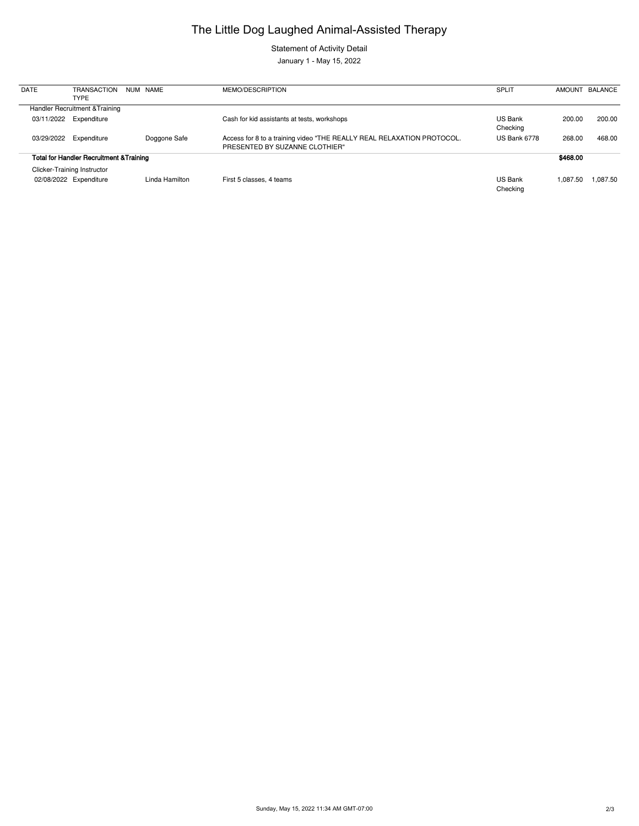## The Little Dog Laughed Animal-Assisted Therapy

Statement of Activity Detail

January 1 - May 15, 2022

| <b>DATE</b>                                         | <b>TRANSACTION</b><br><b>TYPE</b>                            |  | NUM NAME       | MEMO/DESCRIPTION                                                                                         | <b>SPLIT</b>               |          | AMOUNT BALANCE |
|-----------------------------------------------------|--------------------------------------------------------------|--|----------------|----------------------------------------------------------------------------------------------------------|----------------------------|----------|----------------|
|                                                     | Handler Recruitment & Training                               |  |                |                                                                                                          |                            |          |                |
| 03/11/2022                                          | Expenditure                                                  |  |                | Cash for kid assistants at tests, workshops                                                              | <b>US Bank</b><br>Checking | 200.00   | 200.00         |
| 03/29/2022                                          | Expenditure                                                  |  | Doggone Safe   | Access for 8 to a training video "THE REALLY REAL RELAXATION PROTOCOL.<br>PRESENTED BY SUZANNE CLOTHIER" | US Bank 6778               | 268.00   | 468.00         |
| <b>Total for Handler Recruitment &amp; Training</b> |                                                              |  |                |                                                                                                          |                            | \$468.00 |                |
|                                                     | <b>Clicker-Training Instructor</b><br>02/08/2022 Expenditure |  | Linda Hamilton | First 5 classes, 4 teams                                                                                 | US Bank                    | 1.087.50 | 1.087.50       |
|                                                     |                                                              |  |                |                                                                                                          | Checking                   |          |                |

Sunday, May 15, 2022 11:34 AM GMT-07:00